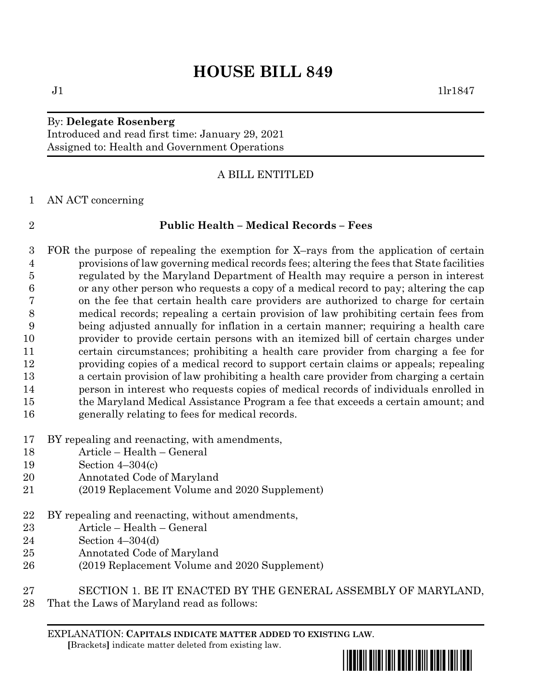# **HOUSE BILL 849**

### By: **Delegate Rosenberg** Introduced and read first time: January 29, 2021 Assigned to: Health and Government Operations

# A BILL ENTITLED

AN ACT concerning

# **Public Health – Medical Records – Fees**

 FOR the purpose of repealing the exemption for X–rays from the application of certain provisions of law governing medical records fees; altering the fees that State facilities regulated by the Maryland Department of Health may require a person in interest or any other person who requests a copy of a medical record to pay; altering the cap on the fee that certain health care providers are authorized to charge for certain medical records; repealing a certain provision of law prohibiting certain fees from being adjusted annually for inflation in a certain manner; requiring a health care provider to provide certain persons with an itemized bill of certain charges under certain circumstances; prohibiting a health care provider from charging a fee for providing copies of a medical record to support certain claims or appeals; repealing a certain provision of law prohibiting a health care provider from charging a certain person in interest who requests copies of medical records of individuals enrolled in the Maryland Medical Assistance Program a fee that exceeds a certain amount; and generally relating to fees for medical records.

- BY repealing and reenacting, with amendments,
- Article Health General
- Section 4–304(c)
- Annotated Code of Maryland
- (2019 Replacement Volume and 2020 Supplement)
- BY repealing and reenacting, without amendments,
- Article Health General
- Section 4–304(d)
- Annotated Code of Maryland
- (2019 Replacement Volume and 2020 Supplement)
- SECTION 1. BE IT ENACTED BY THE GENERAL ASSEMBLY OF MARYLAND,
- That the Laws of Maryland read as follows:

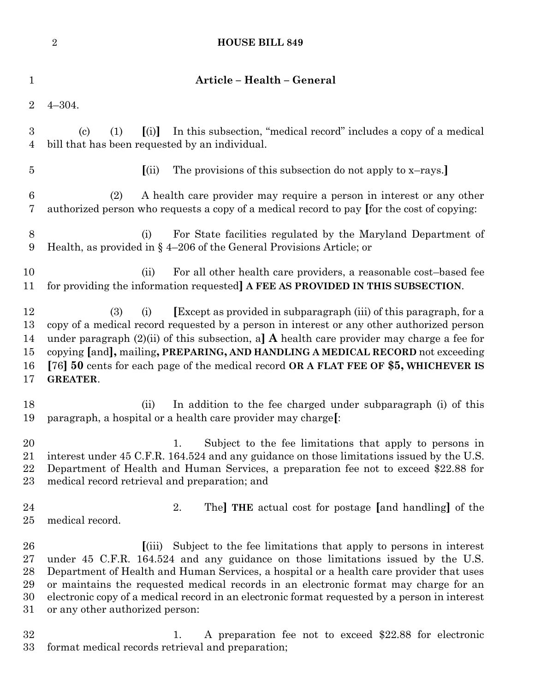|                                  | $\overline{2}$<br><b>HOUSE BILL 849</b>                                                                                                                                                                                                                                                                                                                                                                                                                                              |
|----------------------------------|--------------------------------------------------------------------------------------------------------------------------------------------------------------------------------------------------------------------------------------------------------------------------------------------------------------------------------------------------------------------------------------------------------------------------------------------------------------------------------------|
| $\mathbf 1$                      | Article - Health - General                                                                                                                                                                                                                                                                                                                                                                                                                                                           |
| $\overline{2}$                   | $4 - 304.$                                                                                                                                                                                                                                                                                                                                                                                                                                                                           |
| $\boldsymbol{3}$<br>4            | In this subsection, "medical record" includes a copy of a medical<br>$\left( \text{c}\right)$<br>(1)<br>(i)<br>bill that has been requested by an individual.                                                                                                                                                                                                                                                                                                                        |
| $\overline{5}$                   | The provisions of this subsection do not apply to x-rays.<br>(iii)                                                                                                                                                                                                                                                                                                                                                                                                                   |
| $6\phantom{.}6$<br>7             | A health care provider may require a person in interest or any other<br>(2)<br>authorized person who requests a copy of a medical record to pay [for the cost of copying:                                                                                                                                                                                                                                                                                                            |
| 8<br>9                           | For State facilities regulated by the Maryland Department of<br>(i)<br>Health, as provided in $\S$ 4-206 of the General Provisions Article; or                                                                                                                                                                                                                                                                                                                                       |
| 10<br>11                         | For all other health care providers, a reasonable cost-based fee<br>(ii)<br>for providing the information requested] A FEE AS PROVIDED IN THIS SUBSECTION.                                                                                                                                                                                                                                                                                                                           |
| 12<br>13<br>14<br>15<br>16<br>17 | <b>Except</b> as provided in subparagraph (iii) of this paragraph, for a<br>(3)<br>(i)<br>copy of a medical record requested by a person in interest or any other authorized person<br>under paragraph $(2)(ii)$ of this subsection, a] A health care provider may charge a fee for<br>copying [and], mailing, PREPARING, AND HANDLING A MEDICAL RECORD not exceeding<br>[76] 50 cents for each page of the medical record OR A FLAT FEE OF \$5, WHICHEVER IS<br><b>GREATER.</b>     |
| 18<br>19                         | In addition to the fee charged under subparagraph (i) of this<br>(ii)<br>paragraph, a hospital or a health care provider may charge[:                                                                                                                                                                                                                                                                                                                                                |
| 20<br>21<br>22<br>23             | Subject to the fee limitations that apply to persons in<br>1.<br>interest under 45 C.F.R. 164.524 and any guidance on those limitations issued by the U.S.<br>Department of Health and Human Services, a preparation fee not to exceed \$22.88 for<br>medical record retrieval and preparation; and                                                                                                                                                                                  |
| 24<br>25                         | 2.<br>The <b>THE</b> actual cost for postage [and handling] of the<br>medical record.                                                                                                                                                                                                                                                                                                                                                                                                |
| 26<br>27<br>28<br>29<br>30<br>31 | Subject to the fee limitations that apply to persons in interest<br>(iii)<br>under 45 C.F.R. 164.524 and any guidance on those limitations issued by the U.S.<br>Department of Health and Human Services, a hospital or a health care provider that uses<br>or maintains the requested medical records in an electronic format may charge for an<br>electronic copy of a medical record in an electronic format requested by a person in interest<br>or any other authorized person: |
| 32<br>33                         | A preparation fee not to exceed \$22.88 for electronic<br>1.<br>format medical records retrieval and preparation;                                                                                                                                                                                                                                                                                                                                                                    |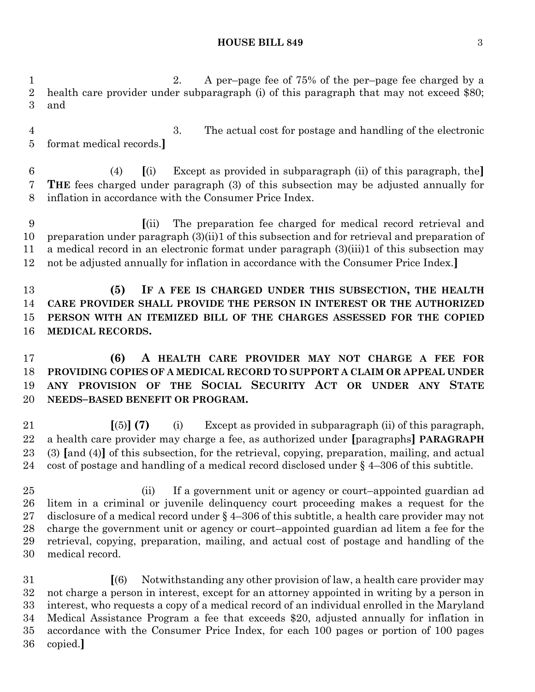### **HOUSE BILL 849** 3

 2. A per–page fee of 75% of the per–page fee charged by a health care provider under subparagraph (i) of this paragraph that may not exceed \$80; and

 3. The actual cost for postage and handling of the electronic format medical records.**]**

 (4) **[**(i) Except as provided in subparagraph (ii) of this paragraph, the**] THE** fees charged under paragraph (3) of this subsection may be adjusted annually for inflation in accordance with the Consumer Price Index.

 **[**(ii) The preparation fee charged for medical record retrieval and preparation under paragraph (3)(ii)1 of this subsection and for retrieval and preparation of a medical record in an electronic format under paragraph (3)(iii)1 of this subsection may not be adjusted annually for inflation in accordance with the Consumer Price Index.**]**

 **(5) IF A FEE IS CHARGED UNDER THIS SUBSECTION, THE HEALTH CARE PROVIDER SHALL PROVIDE THE PERSON IN INTEREST OR THE AUTHORIZED PERSON WITH AN ITEMIZED BILL OF THE CHARGES ASSESSED FOR THE COPIED MEDICAL RECORDS.**

 **(6) A HEALTH CARE PROVIDER MAY NOT CHARGE A FEE FOR PROVIDING COPIES OF A MEDICAL RECORD TO SUPPORT A CLAIM OR APPEAL UNDER ANY PROVISION OF THE SOCIAL SECURITY ACT OR UNDER ANY STATE NEEDS–BASED BENEFIT OR PROGRAM.**

 **[**(5)**] (7)** (i) Except as provided in subparagraph (ii) of this paragraph, a health care provider may charge a fee, as authorized under **[**paragraphs**] PARAGRAPH** (3) **[**and (4)**]** of this subsection, for the retrieval, copying, preparation, mailing, and actual cost of postage and handling of a medical record disclosed under § 4–306 of this subtitle.

 (ii) If a government unit or agency or court–appointed guardian ad litem in a criminal or juvenile delinquency court proceeding makes a request for the disclosure of a medical record under § 4–306 of this subtitle, a health care provider may not charge the government unit or agency or court–appointed guardian ad litem a fee for the retrieval, copying, preparation, mailing, and actual cost of postage and handling of the medical record.

 **[**(6) Notwithstanding any other provision of law, a health care provider may not charge a person in interest, except for an attorney appointed in writing by a person in interest, who requests a copy of a medical record of an individual enrolled in the Maryland Medical Assistance Program a fee that exceeds \$20, adjusted annually for inflation in accordance with the Consumer Price Index, for each 100 pages or portion of 100 pages copied.**]**